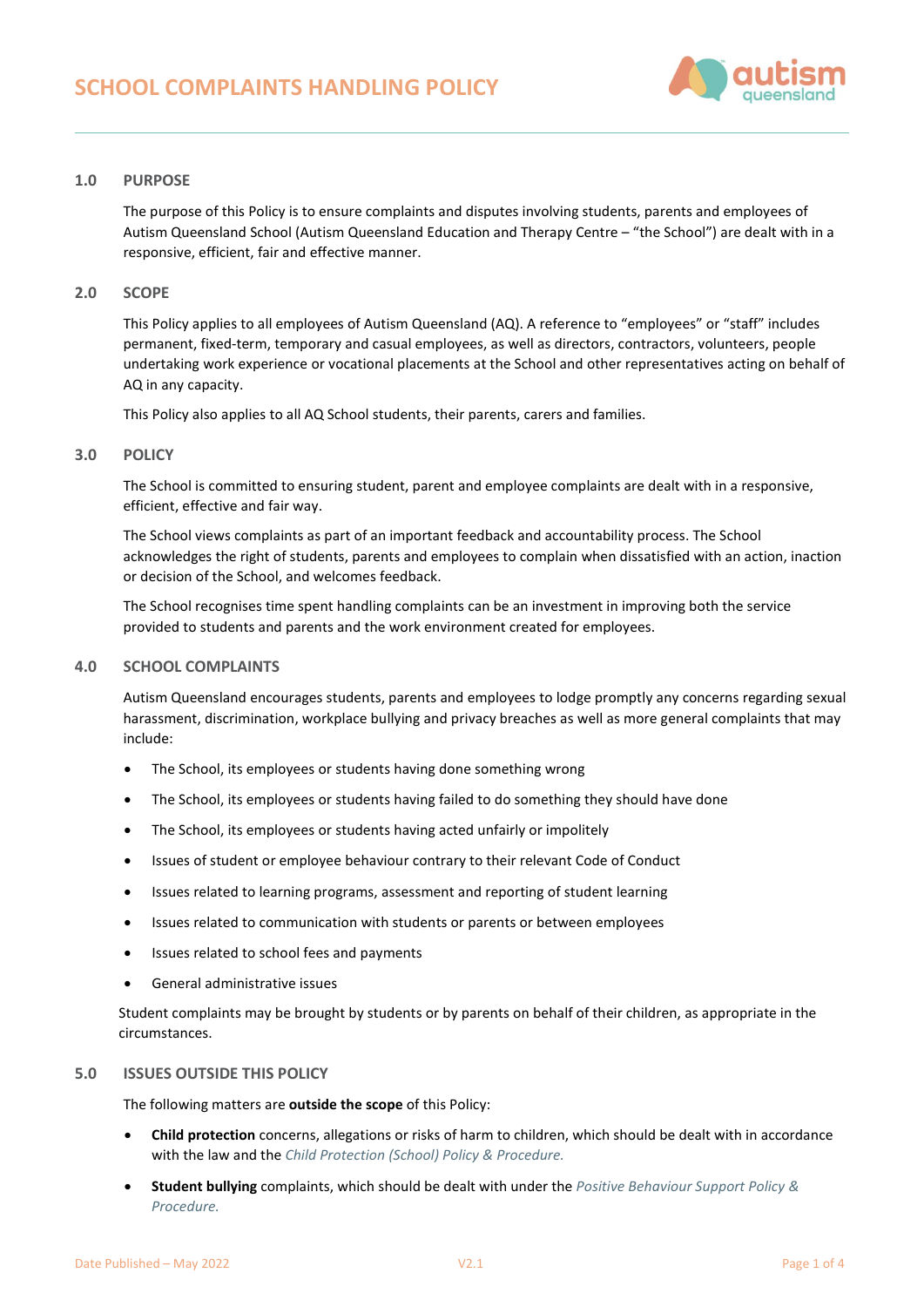

## 1.0 PURPOSE

The purpose of this Policy is to ensure complaints and disputes involving students, parents and employees of Autism Queensland School (Autism Queensland Education and Therapy Centre – "the School") are dealt with in a responsive, efficient, fair and effective manner.

## 2.0 SCOPE

This Policy applies to all employees of Autism Queensland (AQ). A reference to "employees" or "staff" includes permanent, fixed-term, temporary and casual employees, as well as directors, contractors, volunteers, people undertaking work experience or vocational placements at the School and other representatives acting on behalf of AQ in any capacity.

This Policy also applies to all AQ School students, their parents, carers and families.

### 3.0 POLICY

The School is committed to ensuring student, parent and employee complaints are dealt with in a responsive, efficient, effective and fair way.

The School views complaints as part of an important feedback and accountability process. The School acknowledges the right of students, parents and employees to complain when dissatisfied with an action, inaction or decision of the School, and welcomes feedback.

The School recognises time spent handling complaints can be an investment in improving both the service provided to students and parents and the work environment created for employees.

## 4.0 SCHOOL COMPLAINTS

Autism Queensland encourages students, parents and employees to lodge promptly any concerns regarding sexual harassment, discrimination, workplace bullying and privacy breaches as well as more general complaints that may include:

- The School, its employees or students having done something wrong
- The School, its employees or students having failed to do something they should have done
- The School, its employees or students having acted unfairly or impolitely
- Issues of student or employee behaviour contrary to their relevant Code of Conduct
- Issues related to learning programs, assessment and reporting of student learning
- Issues related to communication with students or parents or between employees
- Issues related to school fees and payments
- General administrative issues

Student complaints may be brought by students or by parents on behalf of their children, as appropriate in the circumstances.

## 5.0 ISSUES OUTSIDE THIS POLICY

The following matters are outside the scope of this Policy:

- Child protection concerns, allegations or risks of harm to children, which should be dealt with in accordance with the law and the Child Protection (School) Policy & Procedure.
- Student bullying complaints, which should be dealt with under the Positive Behaviour Support Policy & Procedure.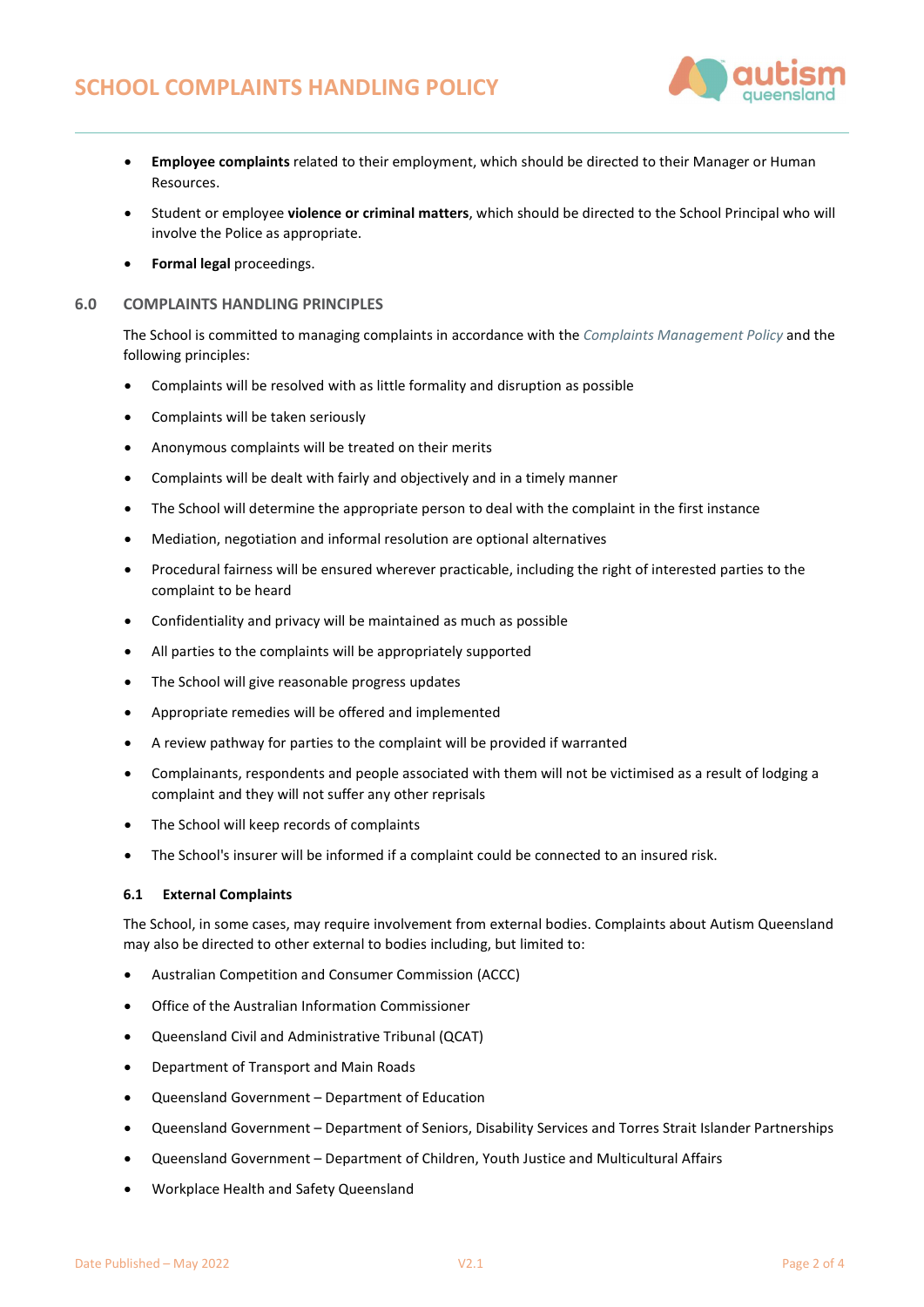

- Employee complaints related to their employment, which should be directed to their Manager or Human Resources.
- Student or employee violence or criminal matters, which should be directed to the School Principal who will involve the Police as appropriate.
- Formal legal proceedings.

## 6.0 COMPLAINTS HANDLING PRINCIPLES

The School is committed to managing complaints in accordance with the Complaints Management Policy and the following principles:

- Complaints will be resolved with as little formality and disruption as possible
- Complaints will be taken seriously
- Anonymous complaints will be treated on their merits
- Complaints will be dealt with fairly and objectively and in a timely manner
- The School will determine the appropriate person to deal with the complaint in the first instance
- Mediation, negotiation and informal resolution are optional alternatives
- Procedural fairness will be ensured wherever practicable, including the right of interested parties to the complaint to be heard
- Confidentiality and privacy will be maintained as much as possible
- All parties to the complaints will be appropriately supported
- The School will give reasonable progress updates
- Appropriate remedies will be offered and implemented
- A review pathway for parties to the complaint will be provided if warranted
- Complainants, respondents and people associated with them will not be victimised as a result of lodging a complaint and they will not suffer any other reprisals
- The School will keep records of complaints
- The School's insurer will be informed if a complaint could be connected to an insured risk.

## 6.1 External Complaints

The School, in some cases, may require involvement from external bodies. Complaints about Autism Queensland may also be directed to other external to bodies including, but limited to:

- Australian Competition and Consumer Commission (ACCC)
- Office of the Australian Information Commissioner
- Queensland Civil and Administrative Tribunal (QCAT)
- Department of Transport and Main Roads
- Queensland Government Department of Education
- Queensland Government Department of Seniors, Disability Services and Torres Strait Islander Partnerships
- Queensland Government Department of Children, Youth Justice and Multicultural Affairs
- Workplace Health and Safety Queensland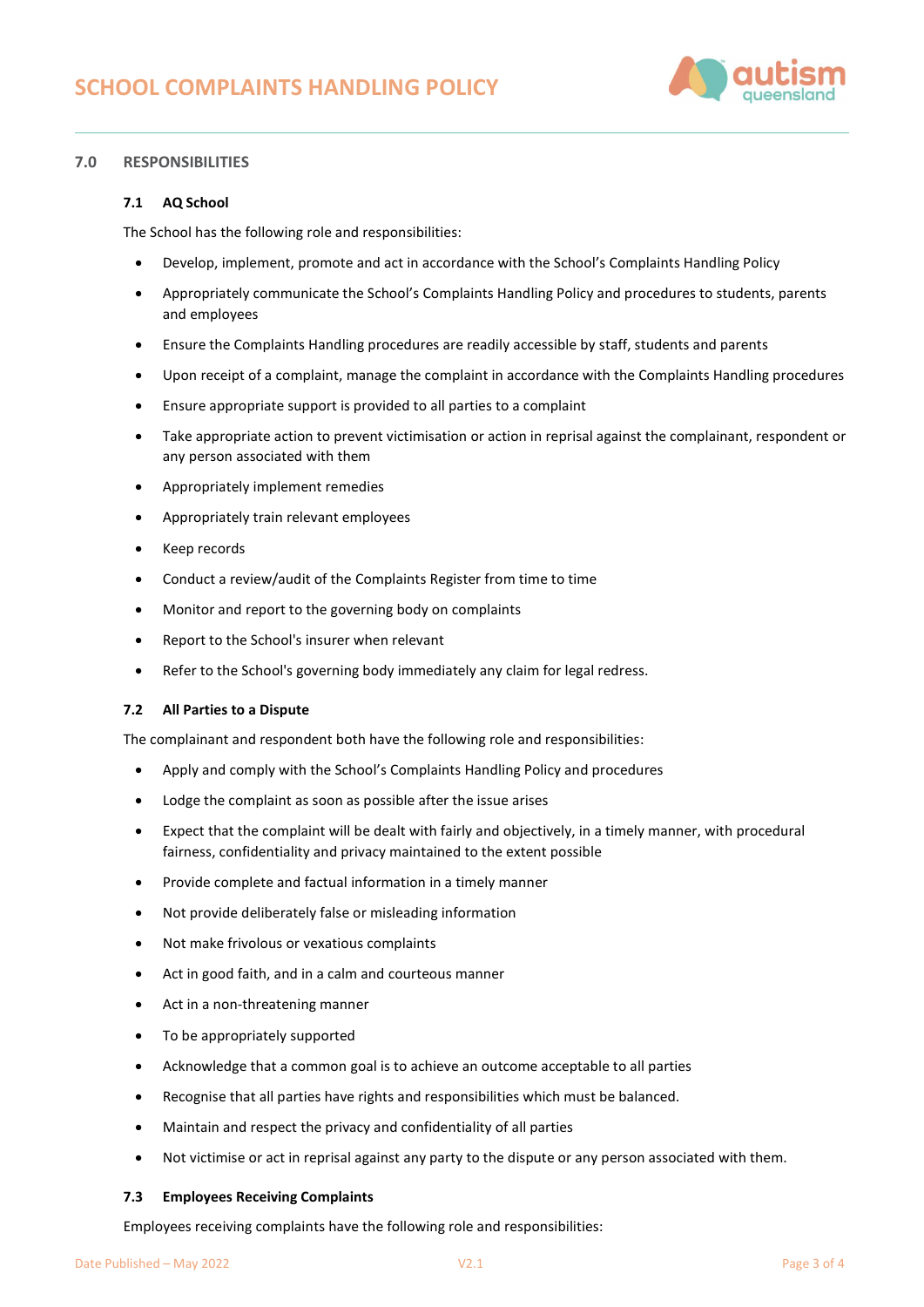

# 7.0 RESPONSIBILITIES

## 7.1 AQ School

The School has the following role and responsibilities:

- Develop, implement, promote and act in accordance with the School's Complaints Handling Policy
- Appropriately communicate the School's Complaints Handling Policy and procedures to students, parents and employees
- Ensure the Complaints Handling procedures are readily accessible by staff, students and parents
- Upon receipt of a complaint, manage the complaint in accordance with the Complaints Handling procedures
- Ensure appropriate support is provided to all parties to a complaint
- Take appropriate action to prevent victimisation or action in reprisal against the complainant, respondent or any person associated with them
- Appropriately implement remedies
- Appropriately train relevant employees
- Keep records
- Conduct a review/audit of the Complaints Register from time to time
- Monitor and report to the governing body on complaints
- Report to the School's insurer when relevant
- Refer to the School's governing body immediately any claim for legal redress.

## 7.2 All Parties to a Dispute

The complainant and respondent both have the following role and responsibilities:

- Apply and comply with the School's Complaints Handling Policy and procedures
- Lodge the complaint as soon as possible after the issue arises
- Expect that the complaint will be dealt with fairly and objectively, in a timely manner, with procedural fairness, confidentiality and privacy maintained to the extent possible
- Provide complete and factual information in a timely manner
- Not provide deliberately false or misleading information
- Not make frivolous or vexatious complaints
- Act in good faith, and in a calm and courteous manner
- Act in a non-threatening manner
- To be appropriately supported
- Acknowledge that a common goal is to achieve an outcome acceptable to all parties
- Recognise that all parties have rights and responsibilities which must be balanced.
- Maintain and respect the privacy and confidentiality of all parties
- Not victimise or act in reprisal against any party to the dispute or any person associated with them.

## 7.3 Employees Receiving Complaints

Employees receiving complaints have the following role and responsibilities: